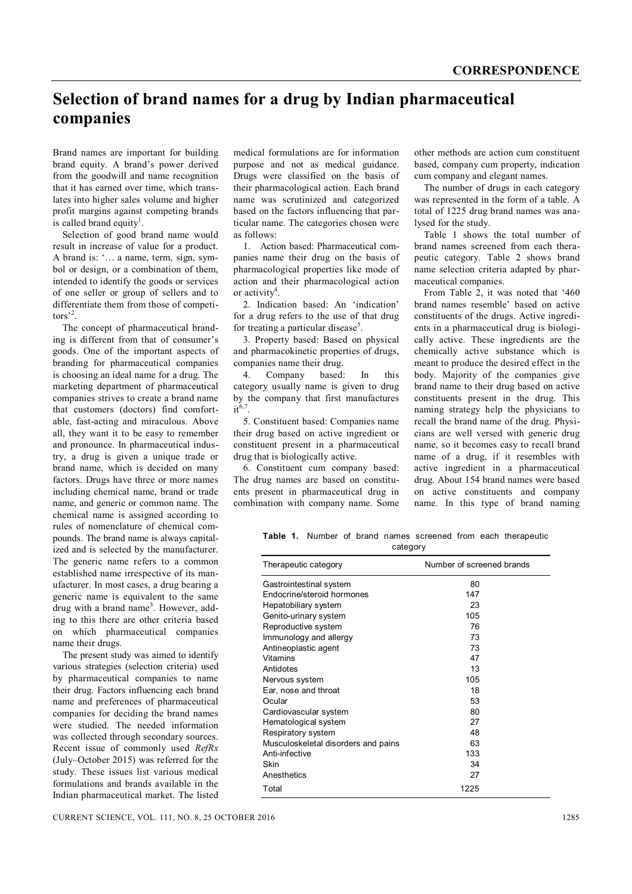## **Selection of brand names for a drug by Indian pharmaceutical companies**

Brand names are important for building brand equity. A brand's power derived from the goodwill and name recognition that it has earned over time, which translates into higher sales volume and higher profit margins against competing brands is called brand equity<sup>1</sup>.

Selection of good brand name would result in increase of value for a product. A brand is: '… a name, term, sign, symbol or design, or a combination of them, intended to identify the goods or services of one seller or group of sellers and to differentiate them from those of competitors' 2 .

The concept of pharmaceutical branding is different from that of consumer's goods. One of the important aspects of branding for pharmaceutical companies is choosing an ideal name for a drug. The marketing department of pharmaceutical companies strives to create a brand name that customers (doctors) find comfortable, fast-acting and miraculous. Above all, they want it to be easy to remember and pronounce. In pharmaceutical industry, a drug is given a unique trade or brand name, which is decided on many factors. Drugs have three or more names including chemical name, brand or trade name, and generic or common name. The chemical name is assigned according to rules of nomenclature of chemical compounds. The brand name is always capitalized and is selected by the manufacturer. The generic name refers to a common established name irrespective of its manufacturer. In most cases, a drug bearing a generic name is equivalent to the same drug with a brand name<sup>3</sup>. However, adding to this there are other criteria based on which pharmaceutical companies name their drugs.

The present study was aimed to identify various strategies (selection criteria) used by pharmaceutical companies to name their drug. Factors influencing each brand name and preferences of pharmaceutical companies for deciding the brand names were studied. The needed information was collected through secondary sources. Recent issue of commonly used *RefRx* (July–October 2015) was referred for the study. These issues list various medical formulations and brands available in the Indian pharmaceutical market. The listed medical formulations are for information purpose and not as medical guidance. Drugs were classified on the basis of their pharmacological action. Each brand name was scrutinized and categorized based on the factors influencing that particular name. The categories chosen were as follows:

1. Action based: Pharmaceutical companies name their drug on the basis of pharmacological properties like mode of action and their pharmacological action or activity<sup>4</sup>.

2. Indication based: An 'indication' for a drug refers to the use of that drug for treating a particular disease<sup>5</sup>.

3. Property based: Based on physical and pharmacokinetic properties of drugs, companies name their drug.

4. Company based: In this category usually name is given to drug by the company that first manufactures  $it^{6,7}$ .

5. Constituent based: Companies name their drug based on active ingredient or constituent present in a pharmaceutical drug that is biologically active.

6. Constituent cum company based: The drug names are based on constituents present in pharmaceutical drug in combination with company name. Some other methods are action cum constituent based, company cum property, indication cum company and elegant names.

The number of drugs in each category was represented in the form of a table. A total of 1225 drug brand names was analysed for the study.

Table 1 shows the total number of brand names screened from each therapeutic category. Table 2 shows brand name selection criteria adapted by pharmaceutical companies.

From Table 2, it was noted that '460 brand names resemble' based on active constituents of the drugs. Active ingredients in a pharmaceutical drug is biologically active. These ingredients are the chemically active substance which is meant to produce the desired effect in the body. Majority of the companies give brand name to their drug based on active constituents present in the drug. This naming strategy help the physicians to recall the brand name of the drug. Physicians are well versed with generic drug name, so it becomes easy to recall brand name of a drug, if it resembles with active ingredient in a pharmaceutical drug. About 154 brand names were based on active constituents and company name. In this type of brand naming

**Table 1.** Number of brand names screened from each therapeutic category

| Therapeutic category                | Number of screened brands |
|-------------------------------------|---------------------------|
| Gastrointestinal system             | 80                        |
| Endocrine/steroid hormones          | 147                       |
| Hepatobiliary system                | 23                        |
| Genito-urinary system               | 105                       |
| Reproductive system                 | 76                        |
| Immunology and allergy              | 73                        |
| Antineoplastic agent                | 73                        |
| Vitamins                            | 47                        |
| Antidotes                           | 13                        |
| Nervous system                      | 105                       |
| Ear, nose and throat                | 18                        |
| Ocular                              | 53                        |
| Cardiovascular system               | 80                        |
| Hematological system                | 27                        |
| Respiratory system                  | 48                        |
| Musculoskeletal disorders and pains | 63                        |
| Anti-infective                      | 133                       |
| Skin                                | 34                        |
| Anesthetics                         | 27                        |
| Total                               | 1225                      |